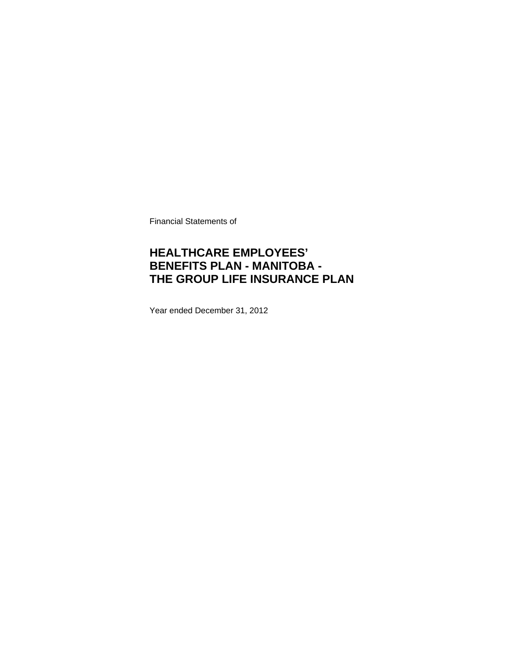Financial Statements of

### **HEALTHCARE EMPLOYEES' BENEFITS PLAN - MANITOBA - THE GROUP LIFE INSURANCE PLAN**

Year ended December 31, 2012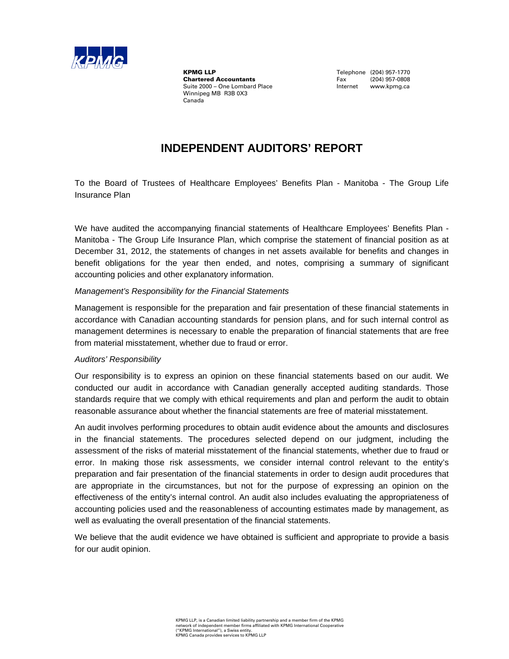

**KPMG LLP**<br> **Chartered Accountants**<br> **Chartered Accountants**<br>
Tax (204) 957-0808 **Chartered Accountants**<br>Suite 2000 - One Lombard Place Winnipeg MB R3B 0X3 Canada

Internet www.kpmg.ca

### **INDEPENDENT AUDITORS' REPORT**

To the Board of Trustees of Healthcare Employees' Benefits Plan - Manitoba - The Group Life Insurance Plan

We have audited the accompanying financial statements of Healthcare Employees' Benefits Plan -Manitoba - The Group Life Insurance Plan, which comprise the statement of financial position as at December 31, 2012, the statements of changes in net assets available for benefits and changes in benefit obligations for the year then ended, and notes, comprising a summary of significant accounting policies and other explanatory information.

#### *Management's Responsibility for the Financial Statements*

Management is responsible for the preparation and fair presentation of these financial statements in accordance with Canadian accounting standards for pension plans, and for such internal control as management determines is necessary to enable the preparation of financial statements that are free from material misstatement, whether due to fraud or error.

#### *Auditors' Responsibility*

Our responsibility is to express an opinion on these financial statements based on our audit. We conducted our audit in accordance with Canadian generally accepted auditing standards. Those standards require that we comply with ethical requirements and plan and perform the audit to obtain reasonable assurance about whether the financial statements are free of material misstatement.

An audit involves performing procedures to obtain audit evidence about the amounts and disclosures in the financial statements. The procedures selected depend on our judgment, including the assessment of the risks of material misstatement of the financial statements, whether due to fraud or error. In making those risk assessments, we consider internal control relevant to the entity's preparation and fair presentation of the financial statements in order to design audit procedures that are appropriate in the circumstances, but not for the purpose of expressing an opinion on the effectiveness of the entity's internal control. An audit also includes evaluating the appropriateness of accounting policies used and the reasonableness of accounting estimates made by management, as well as evaluating the overall presentation of the financial statements.

We believe that the audit evidence we have obtained is sufficient and appropriate to provide a basis for our audit opinion.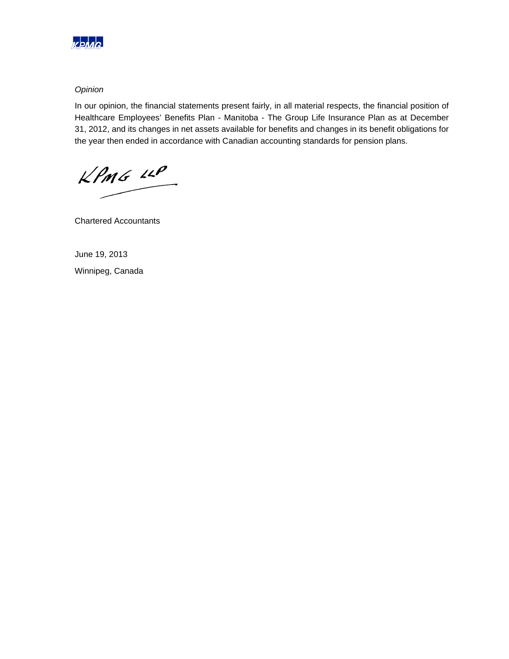

### *Opinion*

In our opinion, the financial statements present fairly, in all material respects, the financial position of Healthcare Employees' Benefits Plan - Manitoba - The Group Life Insurance Plan as at December 31, 2012, and its changes in net assets available for benefits and changes in its benefit obligations for the year then ended in accordance with Canadian accounting standards for pension plans.

 $KPMG$  14P

Chartered Accountants

June 19, 2013 Winnipeg, Canada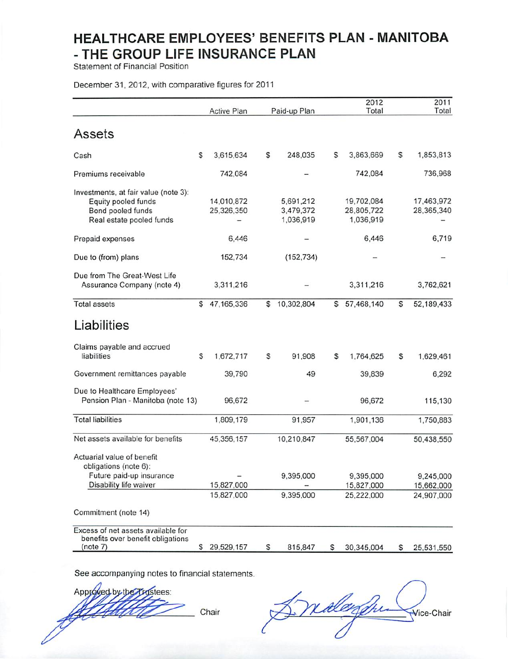**Statement of Financial Position** 

December 31, 2012, with comparative figures for 2011

|                                                                                                              | <b>Active Plan</b>       | Paid-up Plan                        | 2012<br>Total                         | 2011<br>Total            |
|--------------------------------------------------------------------------------------------------------------|--------------------------|-------------------------------------|---------------------------------------|--------------------------|
| Assets                                                                                                       |                          |                                     |                                       |                          |
| Cash                                                                                                         | \$<br>3,615,634          | \$<br>248,035                       | \$<br>3,863,669                       | s<br>1,853,813           |
| Premiums receivable                                                                                          | 742,084                  |                                     | 742,084                               | 736,968                  |
| Investments, at fair value (note 3):<br>Equity pooled funds<br>Bond pooled funds<br>Real estate pooled funds | 14,010,872<br>25,326,350 | 5,691,212<br>3,479,372<br>1,036,919 | 19,702,084<br>28,805,722<br>1,036,919 | 17,463,972<br>28,365,340 |
| Prepaid expenses                                                                                             | 6,446                    |                                     | 6,446                                 | 6,719                    |
| Due to (from) plans                                                                                          | 152,734                  | (152, 734)                          |                                       |                          |
| Due from The Great-West Life<br>Assurance Company (note 4)                                                   | 3,311,216                |                                     | 3,311,216                             | 3,762,621                |
| <b>Total assets</b>                                                                                          | 47, 165, 336<br>\$       | 10,302,804<br>\$                    | 57,468,140<br>S                       | S<br>52,189,433          |
| Liabilities                                                                                                  |                          |                                     |                                       |                          |
| Claims payable and accrued<br>liabilities                                                                    | S<br>1,672,717           | S<br>91,908                         | S<br>1,764,625                        | S<br>1,629,461           |
| Government remittances payable                                                                               | 39,790                   | 49                                  | 39,839                                | 6,292                    |
| Due to Healthcare Employees'<br>Pension Plan - Manitoba (note 13)                                            | 96,672                   |                                     | 96,672                                | 115,130                  |
| <b>Total liabilities</b>                                                                                     | 1,809,179                | 91,957                              | 1,901,136                             | 1,750,883                |
| Net assets available for benefits                                                                            | 45,356,157               | 10,210,847                          | 55,567,004                            | 50,438,550               |
| Actuarial value of benefit<br>obligations (note 6):                                                          |                          |                                     |                                       |                          |
| Future paid-up insurance                                                                                     |                          | 9,395,000                           | 9,395,000                             | 9,245,000                |
| Disability life waiver                                                                                       | 15,827,000               |                                     | 15,827,000                            | 15,662,000               |
| Commitment (note 14)                                                                                         | 15,827,000               | 9,395,000                           | 25,222,000                            | 24,907,000               |
| Excess of net assets available for<br>benefits over benefit obligations<br>(note 7)                          | 29,529,157<br>s          | $\mathbb S$<br>815,847              | \$                                    |                          |
|                                                                                                              |                          |                                     | 30,345,004                            | \$<br>25,531,550         |

See accompanying notes to financial statements.

Approved by the Trustees: Chair

raleizhi Vice-Chair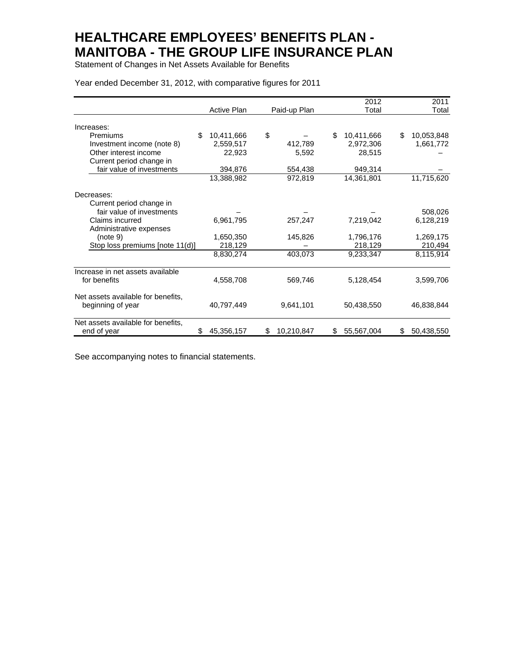Statement of Changes in Net Assets Available for Benefits

|                                    |                    |                  | 2012             | 2011            |
|------------------------------------|--------------------|------------------|------------------|-----------------|
|                                    | <b>Active Plan</b> | Paid-up Plan     | Total            | Total           |
|                                    |                    |                  |                  |                 |
| Increases:<br>Premiums             | \$.                | \$               | \$               | \$              |
|                                    | 10,411,666         |                  | 10,411,666       | 10,053,848      |
| Investment income (note 8)         | 2,559,517          | 412,789          | 2,972,306        | 1,661,772       |
| Other interest income              | 22,923             | 5,592            | 28,515           |                 |
| Current period change in           |                    |                  |                  |                 |
| fair value of investments          | 394,876            | 554,438          | 949,314          |                 |
|                                    | 13,388,982         | 972,819          | 14,361,801       | 11,715,620      |
| Decreases:                         |                    |                  |                  |                 |
| Current period change in           |                    |                  |                  |                 |
| fair value of investments          |                    |                  |                  | 508,026         |
| Claims incurred                    | 6,961,795          | 257,247          | 7,219,042        | 6,128,219       |
|                                    |                    |                  |                  |                 |
| Administrative expenses            |                    |                  |                  |                 |
| (note 9)                           | 1,650,350          | 145,826          | 1,796,176        | 1,269,175       |
| Stop loss premiums [note 11(d)]    | 218,129            |                  | 218,129          | 210,494         |
|                                    | 8,830,274          | 403,073          | 9,233,347        | 8,115,914       |
| Increase in net assets available   |                    |                  |                  |                 |
| for benefits                       | 4,558,708          | 569,746          | 5,128,454        | 3,599,706       |
|                                    |                    |                  |                  |                 |
| Net assets available for benefits, |                    |                  |                  |                 |
| beginning of year                  | 40,797,449         | 9,641,101        | 50,438,550       | 46,838,844      |
|                                    |                    |                  |                  |                 |
| Net assets available for benefits, |                    |                  |                  |                 |
| end of year                        | 45,356,157<br>\$   | 10,210,847<br>\$ | 55,567,004<br>S. | 50,438,550<br>S |

Year ended December 31, 2012, with comparative figures for 2011

See accompanying notes to financial statements.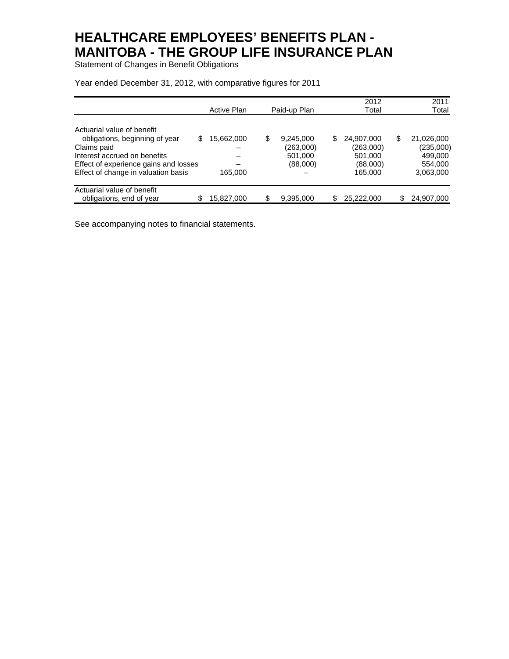Statement of Changes in Benefit Obligations

Year ended December 31, 2012, with comparative figures for 2011

|                                                                                                                                                                                             |   | Active Plan           | Paid-up Plan                                        |     | 2012<br>Total                                             | 2011<br>Total                                                    |
|---------------------------------------------------------------------------------------------------------------------------------------------------------------------------------------------|---|-----------------------|-----------------------------------------------------|-----|-----------------------------------------------------------|------------------------------------------------------------------|
| Actuarial value of benefit<br>obligations, beginning of year<br>Claims paid<br>Interest accrued on benefits<br>Effect of experience gains and losses<br>Effect of change in valuation basis | S | 15,662,000<br>165,000 | \$<br>9,245,000<br>(263,000)<br>501.000<br>(88,000) | \$. | 24,907,000<br>(263,000)<br>501.000<br>(88,000)<br>165,000 | \$<br>21,026,000<br>(235,000)<br>499,000<br>554.000<br>3,063,000 |
|                                                                                                                                                                                             |   |                       |                                                     |     |                                                           |                                                                  |
| Actuarial value of benefit<br>obligations, end of year                                                                                                                                      |   | 15,827,000            | 9,395,000                                           |     | 25,222,000                                                | 24,907,000                                                       |

See accompanying notes to financial statements.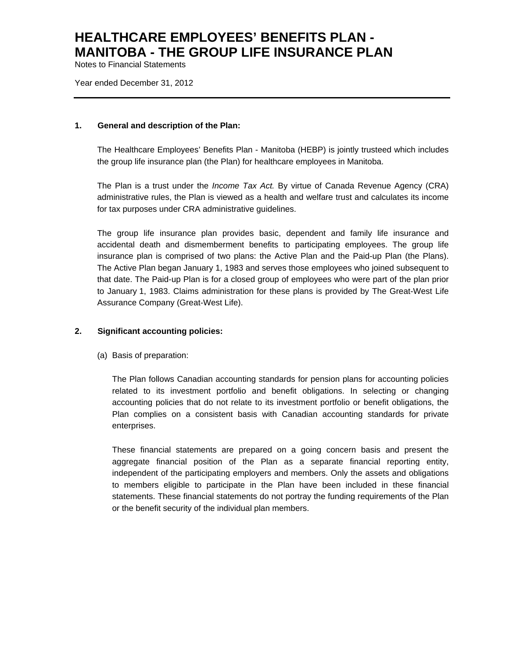Notes to Financial Statements

Year ended December 31, 2012

#### **1. General and description of the Plan:**

The Healthcare Employees' Benefits Plan - Manitoba (HEBP) is jointly trusteed which includes the group life insurance plan (the Plan) for healthcare employees in Manitoba.

The Plan is a trust under the *Income Tax Act.* By virtue of Canada Revenue Agency (CRA) administrative rules, the Plan is viewed as a health and welfare trust and calculates its income for tax purposes under CRA administrative guidelines.

The group life insurance plan provides basic, dependent and family life insurance and accidental death and dismemberment benefits to participating employees. The group life insurance plan is comprised of two plans: the Active Plan and the Paid-up Plan (the Plans). The Active Plan began January 1, 1983 and serves those employees who joined subsequent to that date. The Paid-up Plan is for a closed group of employees who were part of the plan prior to January 1, 1983. Claims administration for these plans is provided by The Great-West Life Assurance Company (Great-West Life).

### **2. Significant accounting policies:**

(a) Basis of preparation:

The Plan follows Canadian accounting standards for pension plans for accounting policies related to its investment portfolio and benefit obligations. In selecting or changing accounting policies that do not relate to its investment portfolio or benefit obligations, the Plan complies on a consistent basis with Canadian accounting standards for private enterprises.

These financial statements are prepared on a going concern basis and present the aggregate financial position of the Plan as a separate financial reporting entity, independent of the participating employers and members. Only the assets and obligations to members eligible to participate in the Plan have been included in these financial statements. These financial statements do not portray the funding requirements of the Plan or the benefit security of the individual plan members.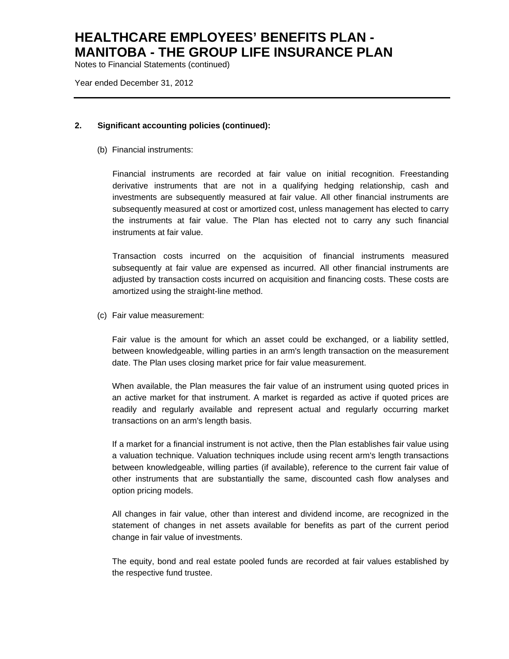Notes to Financial Statements (continued)

Year ended December 31, 2012

### **2. Significant accounting policies (continued):**

(b) Financial instruments:

Financial instruments are recorded at fair value on initial recognition. Freestanding derivative instruments that are not in a qualifying hedging relationship, cash and investments are subsequently measured at fair value. All other financial instruments are subsequently measured at cost or amortized cost, unless management has elected to carry the instruments at fair value. The Plan has elected not to carry any such financial instruments at fair value.

Transaction costs incurred on the acquisition of financial instruments measured subsequently at fair value are expensed as incurred. All other financial instruments are adjusted by transaction costs incurred on acquisition and financing costs. These costs are amortized using the straight-line method.

(c) Fair value measurement:

Fair value is the amount for which an asset could be exchanged, or a liability settled, between knowledgeable, willing parties in an arm's length transaction on the measurement date. The Plan uses closing market price for fair value measurement.

When available, the Plan measures the fair value of an instrument using quoted prices in an active market for that instrument. A market is regarded as active if quoted prices are readily and regularly available and represent actual and regularly occurring market transactions on an arm's length basis.

If a market for a financial instrument is not active, then the Plan establishes fair value using a valuation technique. Valuation techniques include using recent arm's length transactions between knowledgeable, willing parties (if available), reference to the current fair value of other instruments that are substantially the same, discounted cash flow analyses and option pricing models.

All changes in fair value, other than interest and dividend income, are recognized in the statement of changes in net assets available for benefits as part of the current period change in fair value of investments.

The equity, bond and real estate pooled funds are recorded at fair values established by the respective fund trustee.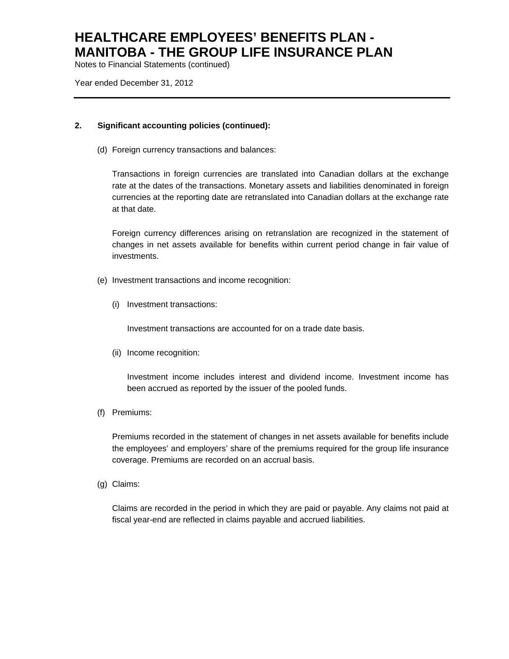Notes to Financial Statements (continued)

Year ended December 31, 2012

### **2. Significant accounting policies (continued):**

(d) Foreign currency transactions and balances:

Transactions in foreign currencies are translated into Canadian dollars at the exchange rate at the dates of the transactions. Monetary assets and liabilities denominated in foreign currencies at the reporting date are retranslated into Canadian dollars at the exchange rate at that date.

Foreign currency differences arising on retranslation are recognized in the statement of changes in net assets available for benefits within current period change in fair value of investments.

- (e) Investment transactions and income recognition:
	- (i) Investment transactions:

Investment transactions are accounted for on a trade date basis.

(ii) Income recognition:

Investment income includes interest and dividend income. Investment income has been accrued as reported by the issuer of the pooled funds.

(f) Premiums:

Premiums recorded in the statement of changes in net assets available for benefits include the employees' and employers' share of the premiums required for the group life insurance coverage. Premiums are recorded on an accrual basis.

(g) Claims:

 Claims are recorded in the period in which they are paid or payable. Any claims not paid at fiscal year-end are reflected in claims payable and accrued liabilities.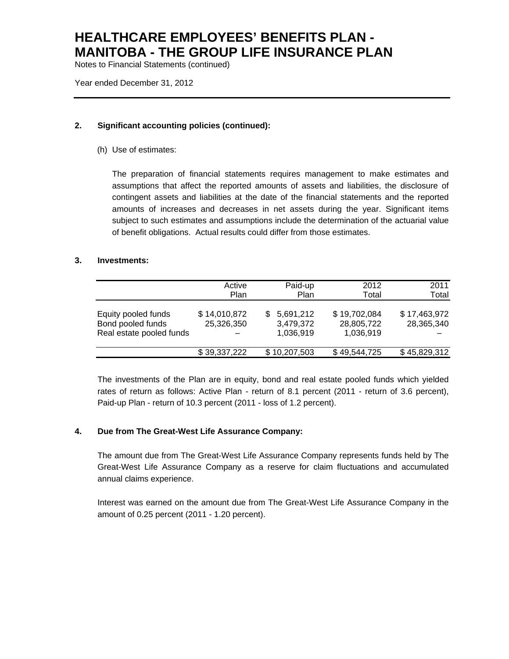Notes to Financial Statements (continued)

Year ended December 31, 2012

### **2. Significant accounting policies (continued):**

(h) Use of estimates:

The preparation of financial statements requires management to make estimates and assumptions that affect the reported amounts of assets and liabilities, the disclosure of contingent assets and liabilities at the date of the financial statements and the reported amounts of increases and decreases in net assets during the year. Significant items subject to such estimates and assumptions include the determination of the actuarial value of benefit obligations. Actual results could differ from those estimates.

### **3. Investments:**

|                                                                      | Active                     | Paid-up                                   | 2012                                    | 2011                       |
|----------------------------------------------------------------------|----------------------------|-------------------------------------------|-----------------------------------------|----------------------------|
|                                                                      | Plan                       | Plan                                      | Total                                   | Total                      |
| Equity pooled funds<br>Bond pooled funds<br>Real estate pooled funds | \$14,010,872<br>25,326,350 | 5,691,212<br>S.<br>3,479,372<br>1,036,919 | \$19,702,084<br>28,805,722<br>1,036,919 | \$17,463,972<br>28,365,340 |
|                                                                      | \$39,337,222               | \$10,207,503                              | \$49,544,725                            | \$45,829,312               |

The investments of the Plan are in equity, bond and real estate pooled funds which yielded rates of return as follows: Active Plan - return of 8.1 percent (2011 - return of 3.6 percent), Paid-up Plan - return of 10.3 percent (2011 - loss of 1.2 percent).

### **4. Due from The Great-West Life Assurance Company:**

The amount due from The Great-West Life Assurance Company represents funds held by The Great-West Life Assurance Company as a reserve for claim fluctuations and accumulated annual claims experience.

Interest was earned on the amount due from The Great-West Life Assurance Company in the amount of 0.25 percent (2011 - 1.20 percent).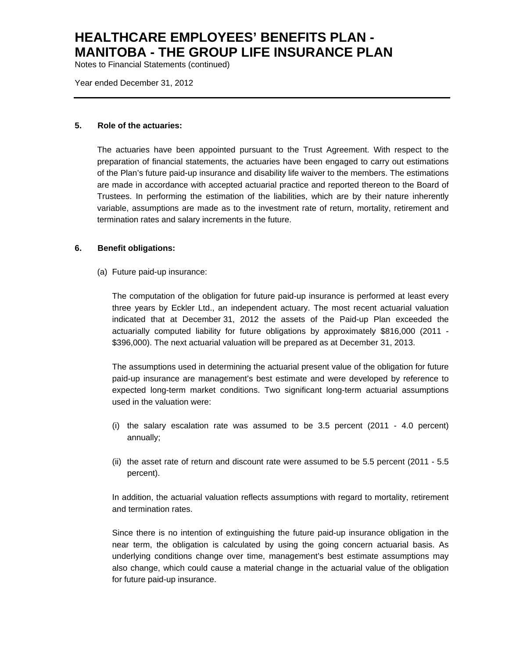Notes to Financial Statements (continued)

Year ended December 31, 2012

#### **5. Role of the actuaries:**

The actuaries have been appointed pursuant to the Trust Agreement. With respect to the preparation of financial statements, the actuaries have been engaged to carry out estimations of the Plan's future paid-up insurance and disability life waiver to the members. The estimations are made in accordance with accepted actuarial practice and reported thereon to the Board of Trustees. In performing the estimation of the liabilities, which are by their nature inherently variable, assumptions are made as to the investment rate of return, mortality, retirement and termination rates and salary increments in the future.

#### **6. Benefit obligations:**

(a) Future paid-up insurance:

The computation of the obligation for future paid-up insurance is performed at least every three years by Eckler Ltd., an independent actuary. The most recent actuarial valuation indicated that at December 31, 2012 the assets of the Paid-up Plan exceeded the actuarially computed liability for future obligations by approximately \$816,000 (2011 - \$396,000). The next actuarial valuation will be prepared as at December 31, 2013.

The assumptions used in determining the actuarial present value of the obligation for future paid-up insurance are management's best estimate and were developed by reference to expected long-term market conditions. Two significant long-term actuarial assumptions used in the valuation were:

- (i) the salary escalation rate was assumed to be 3.5 percent (2011 4.0 percent) annually;
- (ii) the asset rate of return and discount rate were assumed to be 5.5 percent (2011 5.5 percent).

In addition, the actuarial valuation reflects assumptions with regard to mortality, retirement and termination rates.

Since there is no intention of extinguishing the future paid-up insurance obligation in the near term, the obligation is calculated by using the going concern actuarial basis. As underlying conditions change over time, management's best estimate assumptions may also change, which could cause a material change in the actuarial value of the obligation for future paid-up insurance.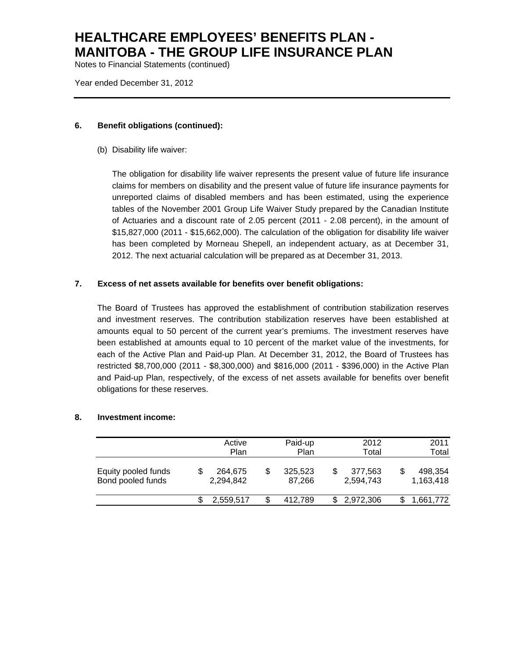Notes to Financial Statements (continued)

Year ended December 31, 2012

### **6. Benefit obligations (continued):**

(b) Disability life waiver:

The obligation for disability life waiver represents the present value of future life insurance claims for members on disability and the present value of future life insurance payments for unreported claims of disabled members and has been estimated, using the experience tables of the November 2001 Group Life Waiver Study prepared by the Canadian Institute of Actuaries and a discount rate of 2.05 percent (2011 - 2.08 percent), in the amount of \$15,827,000 (2011 - \$15,662,000). The calculation of the obligation for disability life waiver has been completed by Morneau Shepell, an independent actuary, as at December 31, 2012. The next actuarial calculation will be prepared as at December 31, 2013.

### **7. Excess of net assets available for benefits over benefit obligations:**

The Board of Trustees has approved the establishment of contribution stabilization reserves and investment reserves. The contribution stabilization reserves have been established at amounts equal to 50 percent of the current year's premiums. The investment reserves have been established at amounts equal to 10 percent of the market value of the investments, for each of the Active Plan and Paid-up Plan. At December 31, 2012, the Board of Trustees has restricted \$8,700,000 (2011 - \$8,300,000) and \$816,000 (2011 - \$396,000) in the Active Plan and Paid-up Plan, respectively, of the excess of net assets available for benefits over benefit obligations for these reserves.

### **8. Investment income:**

|                                          | Active<br>Plan       | Paid-up<br>Plan         |   | 2012<br>Total        | 2011<br>Total        |
|------------------------------------------|----------------------|-------------------------|---|----------------------|----------------------|
| Equity pooled funds<br>Bond pooled funds | 264,675<br>2.294.842 | \$<br>325,523<br>87.266 |   | 377,563<br>2.594.743 | 498,354<br>1,163,418 |
|                                          | 2,559,517            | \$<br>412.789           | S | 2.972.306            | 1,661,772            |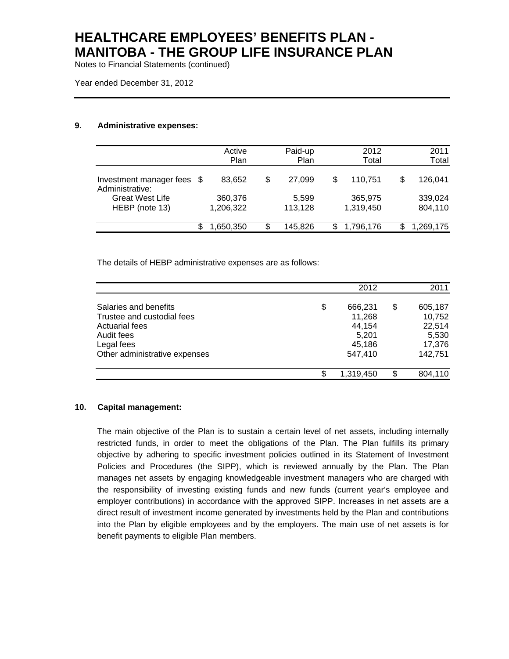Notes to Financial Statements (continued)

Year ended December 31, 2012

#### **9. Administrative expenses:**

|                                               | Active<br>Plan       | Paid-up<br>Plan  |   | 2012<br>Total        |   | 2011<br>Total      |
|-----------------------------------------------|----------------------|------------------|---|----------------------|---|--------------------|
| Investment manager fees \$<br>Administrative: | 83.652               | \$<br>27.099     | S | 110.751              | S | 126.041            |
| <b>Great West Life</b><br>HEBP (note 13)      | 360,376<br>1,206,322 | 5,599<br>113,128 |   | 365,975<br>1,319,450 |   | 339,024<br>804,110 |
|                                               | 1,650,350            | \$<br>145,826    | S | 1,796,176            |   | 1,269,175          |

The details of HEBP administrative expenses are as follows:

|                               |    | 2012      | 2011          |
|-------------------------------|----|-----------|---------------|
|                               |    |           |               |
| Salaries and benefits         | \$ | 666,231   | \$<br>605,187 |
| Trustee and custodial fees    |    | 11,268    | 10,752        |
| <b>Actuarial fees</b>         |    | 44,154    | 22,514        |
| Audit fees                    |    | 5,201     | 5,530         |
| Legal fees                    |    | 45,186    | 17,376        |
| Other administrative expenses |    | 547,410   | 142,751       |
|                               | S  | 1,319,450 | 804,110       |

#### **10. Capital management:**

The main objective of the Plan is to sustain a certain level of net assets, including internally restricted funds, in order to meet the obligations of the Plan. The Plan fulfills its primary objective by adhering to specific investment policies outlined in its Statement of Investment Policies and Procedures (the SIPP), which is reviewed annually by the Plan. The Plan manages net assets by engaging knowledgeable investment managers who are charged with the responsibility of investing existing funds and new funds (current year's employee and employer contributions) in accordance with the approved SIPP. Increases in net assets are a direct result of investment income generated by investments held by the Plan and contributions into the Plan by eligible employees and by the employers. The main use of net assets is for benefit payments to eligible Plan members.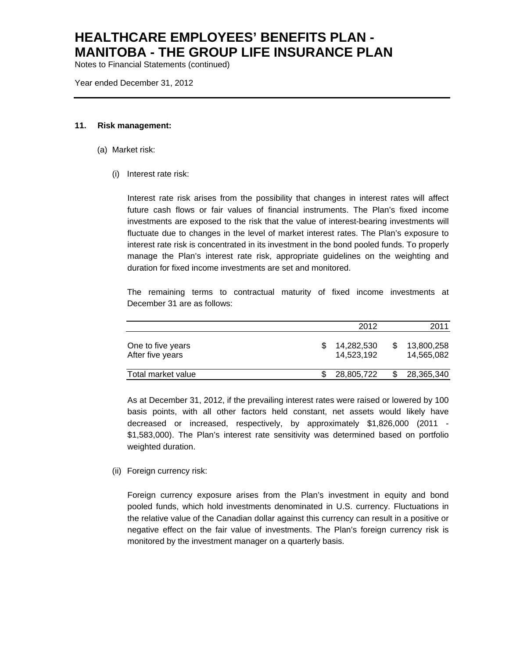Notes to Financial Statements (continued)

Year ended December 31, 2012

#### **11. Risk management:**

- (a) Market risk:
	- (i) Interest rate risk:

Interest rate risk arises from the possibility that changes in interest rates will affect future cash flows or fair values of financial instruments. The Plan's fixed income investments are exposed to the risk that the value of interest-bearing investments will fluctuate due to changes in the level of market interest rates. The Plan's exposure to interest rate risk is concentrated in its investment in the bond pooled funds. To properly manage the Plan's interest rate risk, appropriate guidelines on the weighting and duration for fixed income investments are set and monitored.

The remaining terms to contractual maturity of fixed income investments at December 31 are as follows:

|                                       | 2012                     | 2011                     |
|---------------------------------------|--------------------------|--------------------------|
| One to five years<br>After five years | 14,282,530<br>14.523.192 | 13,800,258<br>14.565.082 |
| Total market value                    | 28.805.722               | 28,365,340               |

As at December 31, 2012, if the prevailing interest rates were raised or lowered by 100 basis points, with all other factors held constant, net assets would likely have decreased or increased, respectively, by approximately \$1,826,000 (2011 - \$1,583,000). The Plan's interest rate sensitivity was determined based on portfolio weighted duration.

(ii) Foreign currency risk:

Foreign currency exposure arises from the Plan's investment in equity and bond pooled funds, which hold investments denominated in U.S. currency. Fluctuations in the relative value of the Canadian dollar against this currency can result in a positive or negative effect on the fair value of investments. The Plan's foreign currency risk is monitored by the investment manager on a quarterly basis.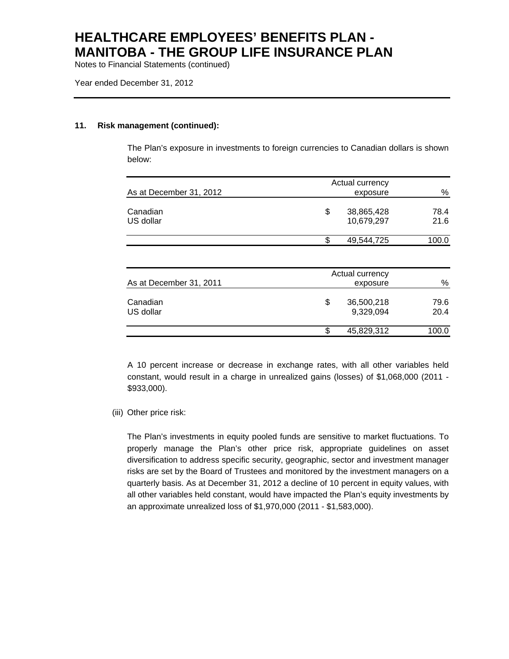Notes to Financial Statements (continued)

Year ended December 31, 2012

#### **11. Risk management (continued):**

The Plan's exposure in investments to foreign currencies to Canadian dollars is shown below:

| As at December 31, 2012 | Actual currency<br>exposure    | %            |
|-------------------------|--------------------------------|--------------|
| Canadian<br>US dollar   | \$<br>38,865,428<br>10,679,297 | 78.4<br>21.6 |
|                         | \$<br>49,544,725               | 100.0        |
|                         |                                |              |
| As at December 31, 2011 | Actual currency<br>exposure    | %            |
| Canadian<br>US dollar   | \$<br>36,500,218<br>9,329,094  | 79.6<br>20.4 |
|                         | \$<br>45,829,312               | 100.0        |

A 10 percent increase or decrease in exchange rates, with all other variables held constant, would result in a charge in unrealized gains (losses) of \$1,068,000 (2011 - \$933,000).

(iii) Other price risk:

The Plan's investments in equity pooled funds are sensitive to market fluctuations. To properly manage the Plan's other price risk, appropriate guidelines on asset diversification to address specific security, geographic, sector and investment manager risks are set by the Board of Trustees and monitored by the investment managers on a quarterly basis. As at December 31, 2012 a decline of 10 percent in equity values, with all other variables held constant, would have impacted the Plan's equity investments by an approximate unrealized loss of \$1,970,000 (2011 - \$1,583,000).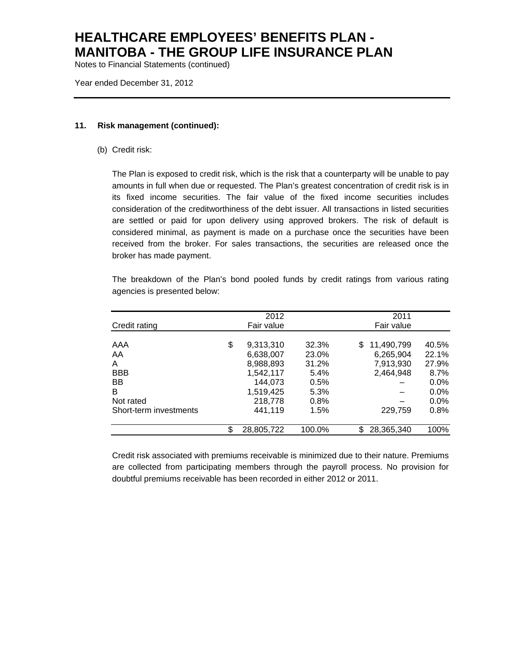Notes to Financial Statements (continued)

Year ended December 31, 2012

#### **11. Risk management (continued):**

(b) Credit risk:

The Plan is exposed to credit risk, which is the risk that a counterparty will be unable to pay amounts in full when due or requested. The Plan's greatest concentration of credit risk is in its fixed income securities. The fair value of the fixed income securities includes consideration of the creditworthiness of the debt issuer. All transactions in listed securities are settled or paid for upon delivery using approved brokers. The risk of default is considered minimal, as payment is made on a purchase once the securities have been received from the broker. For sales transactions, the securities are released once the broker has made payment.

The breakdown of the Plan's bond pooled funds by credit ratings from various rating agencies is presented below:

|                        | 2012             |        | 2011              |         |
|------------------------|------------------|--------|-------------------|---------|
| Credit rating          | Fair value       |        | Fair value        |         |
|                        |                  |        |                   |         |
| AAA                    | \$<br>9,313,310  | 32.3%  | 11,490,799<br>\$. | 40.5%   |
| AA                     | 6,638,007        | 23.0%  | 6,265,904         | 22.1%   |
| A                      | 8,988,893        | 31.2%  | 7,913,930         | 27.9%   |
| <b>BBB</b>             | 1.542.117        | 5.4%   | 2,464,948         | 8.7%    |
| <b>BB</b>              | 144.073          | 0.5%   |                   | $0.0\%$ |
| B                      | 1,519,425        | 5.3%   |                   | $0.0\%$ |
| Not rated              | 218,778          | 0.8%   |                   | $0.0\%$ |
| Short-term investments | 441.119          | 1.5%   | 229,759           | 0.8%    |
|                        | \$<br>28,805,722 | 100.0% | 28,365,340        | 100%    |

Credit risk associated with premiums receivable is minimized due to their nature. Premiums are collected from participating members through the payroll process. No provision for doubtful premiums receivable has been recorded in either 2012 or 2011.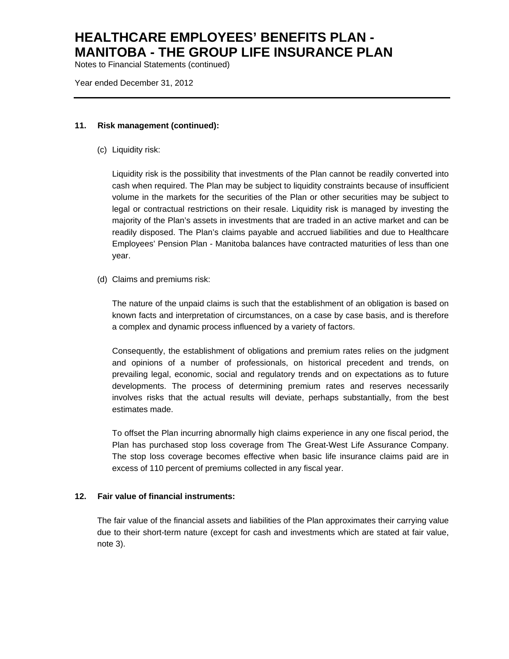Notes to Financial Statements (continued)

Year ended December 31, 2012

#### **11. Risk management (continued):**

(c) Liquidity risk:

Liquidity risk is the possibility that investments of the Plan cannot be readily converted into cash when required. The Plan may be subject to liquidity constraints because of insufficient volume in the markets for the securities of the Plan or other securities may be subject to legal or contractual restrictions on their resale. Liquidity risk is managed by investing the majority of the Plan's assets in investments that are traded in an active market and can be readily disposed. The Plan's claims payable and accrued liabilities and due to Healthcare Employees' Pension Plan - Manitoba balances have contracted maturities of less than one year.

(d) Claims and premiums risk:

The nature of the unpaid claims is such that the establishment of an obligation is based on known facts and interpretation of circumstances, on a case by case basis, and is therefore a complex and dynamic process influenced by a variety of factors.

Consequently, the establishment of obligations and premium rates relies on the judgment and opinions of a number of professionals, on historical precedent and trends, on prevailing legal, economic, social and regulatory trends and on expectations as to future developments. The process of determining premium rates and reserves necessarily involves risks that the actual results will deviate, perhaps substantially, from the best estimates made.

To offset the Plan incurring abnormally high claims experience in any one fiscal period, the Plan has purchased stop loss coverage from The Great-West Life Assurance Company. The stop loss coverage becomes effective when basic life insurance claims paid are in excess of 110 percent of premiums collected in any fiscal year.

### **12. Fair value of financial instruments:**

The fair value of the financial assets and liabilities of the Plan approximates their carrying value due to their short-term nature (except for cash and investments which are stated at fair value, note 3).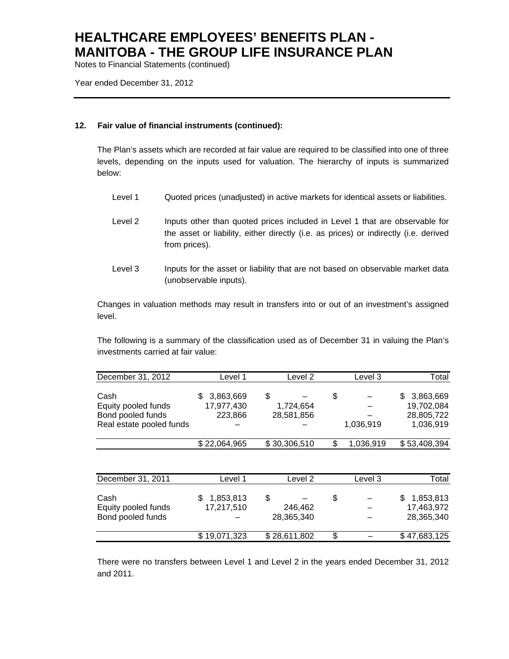Notes to Financial Statements (continued)

Year ended December 31, 2012

### **12. Fair value of financial instruments (continued):**

The Plan's assets which are recorded at fair value are required to be classified into one of three levels, depending on the inputs used for valuation. The hierarchy of inputs is summarized below:

- Level 1 Quoted prices (unadjusted) in active markets for identical assets or liabilities.
- Level 2 Inputs other than quoted prices included in Level 1 that are observable for the asset or liability, either directly (i.e. as prices) or indirectly (i.e. derived from prices).
- Level 3 Inputs for the asset or liability that are not based on observable market data (unobservable inputs).

Changes in valuation methods may result in transfers into or out of an investment's assigned level.

The following is a summary of the classification used as of December 31 in valuing the Plan's investments carried at fair value:

| December 31, 2012                                                            | Level 1                                   | Level 2                       | Level 3         | Total                                                    |
|------------------------------------------------------------------------------|-------------------------------------------|-------------------------------|-----------------|----------------------------------------------------------|
| Cash<br>Equity pooled funds<br>Bond pooled funds<br>Real estate pooled funds | 3,863,669<br>\$.<br>17,977,430<br>223,866 | \$<br>1,724,654<br>28,581,856 | \$<br>1,036,919 | 3,863,669<br>\$<br>19,702,084<br>28,805,722<br>1,036,919 |
|                                                                              | \$22,064,965                              | \$30,306,510                  | \$<br>1,036,919 | \$53,408,394                                             |
|                                                                              |                                           |                               |                 |                                                          |
| December 31, 2011                                                            | Level 1                                   | Level 2                       | Level 3         | Total                                                    |
| Cash<br>Equity pooled funds<br>Bond pooled funds                             | 1,853,813<br>\$<br>17,217,510             | \$<br>246,462<br>28,365,340   | \$              | 1,853,813<br>\$<br>17,463,972<br>28,365,340              |
|                                                                              | \$19,071,323                              | \$28,611,802                  | \$              | \$47,683,125                                             |

There were no transfers between Level 1 and Level 2 in the years ended December 31, 2012 and 2011.